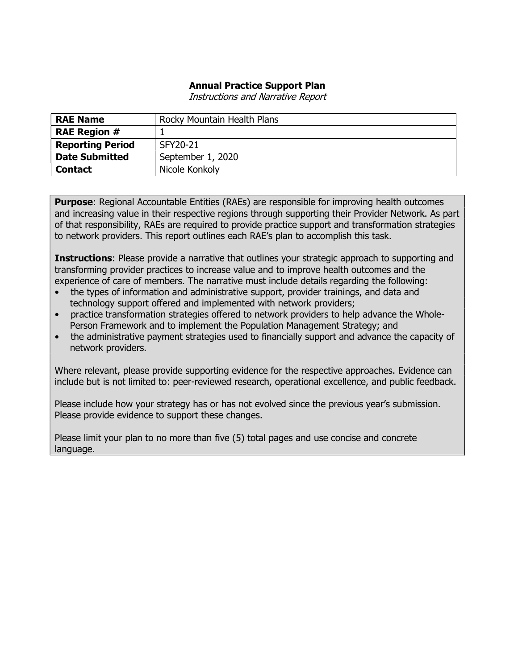### Annual Practice Support Plan

Instructions and Narrative Report

| <b>RAE Name</b>         | Rocky Mountain Health Plans |
|-------------------------|-----------------------------|
| <b>RAE Region #</b>     |                             |
| <b>Reporting Period</b> | SFY20-21                    |
| <b>Date Submitted</b>   | September 1, 2020           |
| <b>Contact</b>          | Nicole Konkoly              |

**Purpose:** Regional Accountable Entities (RAEs) are responsible for improving health outcomes and increasing value in their respective regions through supporting their Provider Network. As part of that responsibility, RAEs are required to provide practice support and transformation strategies to network providers. This report outlines each RAE's plan to accomplish this task.

**Instructions:** Please provide a narrative that outlines your strategic approach to supporting and transforming provider practices to increase value and to improve health outcomes and the experience of care of members. The narrative must include details regarding the following:

- the types of information and administrative support, provider trainings, and data and technology support offered and implemented with network providers;
- practice transformation strategies offered to network providers to help advance the Whole-Person Framework and to implement the Population Management Strategy; and
- the administrative payment strategies used to financially support and advance the capacity of network providers.

Where relevant, please provide supporting evidence for the respective approaches. Evidence can include but is not limited to: peer-reviewed research, operational excellence, and public feedback.

Please include how your strategy has or has not evolved since the previous year's submission. Please provide evidence to support these changes.

Please limit your plan to no more than five (5) total pages and use concise and concrete language.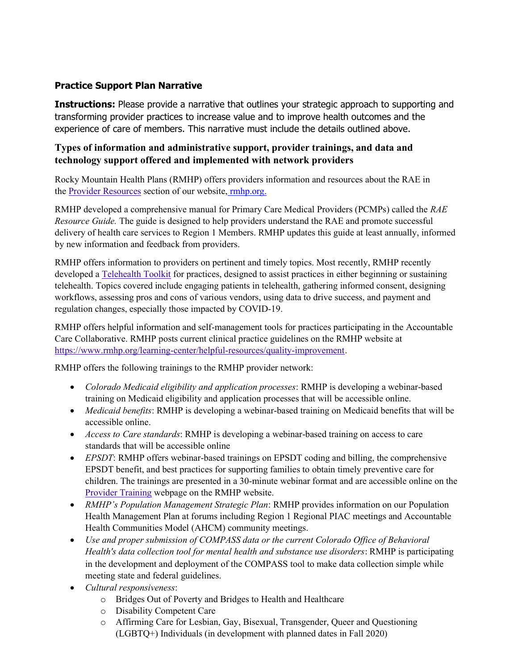# Practice Support Plan Narrative

**Instructions:** Please provide a narrative that outlines your strategic approach to supporting and transforming provider practices to increase value and to improve health outcomes and the experience of care of members. This narrative must include the details outlined above.

## Types of information and administrative support, provider trainings, and data and technology support offered and implemented with network providers

Rocky Mountain Health Plans (RMHP) offers providers information and resources about the RAE in the Provider Resources section of our website, rmhp.org.

RMHP developed a comprehensive manual for Primary Care Medical Providers (PCMPs) called the RAE Resource Guide. The guide is designed to help providers understand the RAE and promote successful delivery of health care services to Region 1 Members. RMHP updates this guide at least annually, informed by new information and feedback from providers.

RMHP offers information to providers on pertinent and timely topics. Most recently, RMHP recently developed a Telehealth Toolkit for practices, designed to assist practices in either beginning or sustaining telehealth. Topics covered include engaging patients in telehealth, gathering informed consent, designing workflows, assessing pros and cons of various vendors, using data to drive success, and payment and regulation changes, especially those impacted by COVID-19.

RMHP offers helpful information and self-management tools for practices participating in the Accountable Care Collaborative. RMHP posts current clinical practice guidelines on the RMHP website at https://www.rmhp.org/learning-center/helpful-resources/quality-improvement.

RMHP offers the following trainings to the RMHP provider network:

- Colorado Medicaid eligibility and application processes: RMHP is developing a webinar-based training on Medicaid eligibility and application processes that will be accessible online.
- Medicaid benefits: RMHP is developing a webinar-based training on Medicaid benefits that will be accessible online.
- Access to Care standards: RMHP is developing a webinar-based training on access to care standards that will be accessible online
- EPSDT: RMHP offers webinar-based trainings on EPSDT coding and billing, the comprehensive EPSDT benefit, and best practices for supporting families to obtain timely preventive care for children. The trainings are presented in a 30-minute webinar format and are accessible online on the Provider Training webpage on the RMHP website.
- RMHP's Population Management Strategic Plan: RMHP provides information on our Population Health Management Plan at forums including Region 1 Regional PIAC meetings and Accountable Health Communities Model (AHCM) community meetings.
- Use and proper submission of COMPASS data or the current Colorado Office of Behavioral Health's data collection tool for mental health and substance use disorders: RMHP is participating in the development and deployment of the COMPASS tool to make data collection simple while meeting state and federal guidelines.
- Cultural responsiveness:
	- o Bridges Out of Poverty and Bridges to Health and Healthcare
	- o Disability Competent Care
	- o Affirming Care for Lesbian, Gay, Bisexual, Transgender, Queer and Questioning (LGBTQ+) Individuals (in development with planned dates in Fall 2020)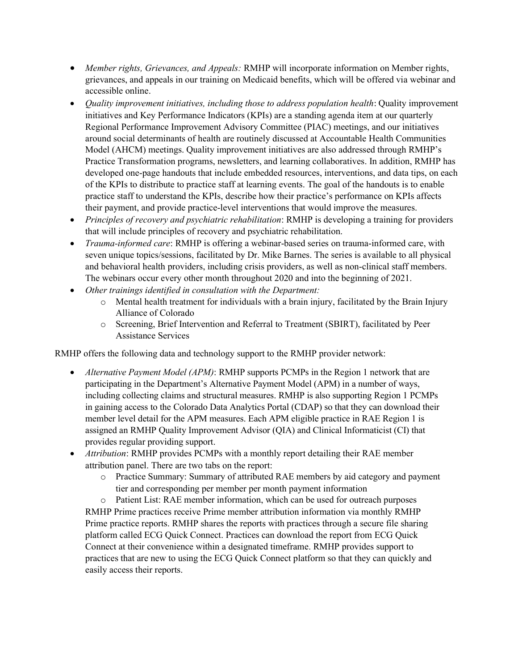- Member rights, Grievances, and Appeals: RMHP will incorporate information on Member rights, grievances, and appeals in our training on Medicaid benefits, which will be offered via webinar and accessible online.
- Quality improvement initiatives, including those to address population health: Quality improvement initiatives and Key Performance Indicators (KPIs) are a standing agenda item at our quarterly Regional Performance Improvement Advisory Committee (PIAC) meetings, and our initiatives around social determinants of health are routinely discussed at Accountable Health Communities Model (AHCM) meetings. Quality improvement initiatives are also addressed through RMHP's Practice Transformation programs, newsletters, and learning collaboratives. In addition, RMHP has developed one-page handouts that include embedded resources, interventions, and data tips, on each of the KPIs to distribute to practice staff at learning events. The goal of the handouts is to enable practice staff to understand the KPIs, describe how their practice's performance on KPIs affects their payment, and provide practice-level interventions that would improve the measures.
- Principles of recovery and psychiatric rehabilitation: RMHP is developing a training for providers that will include principles of recovery and psychiatric rehabilitation.
- *Trauma-informed care*: RMHP is offering a webinar-based series on trauma-informed care, with seven unique topics/sessions, facilitated by Dr. Mike Barnes. The series is available to all physical and behavioral health providers, including crisis providers, as well as non-clinical staff members. The webinars occur every other month throughout 2020 and into the beginning of 2021.
- Other trainings identified in consultation with the Department:
	- o Mental health treatment for individuals with a brain injury, facilitated by the Brain Injury Alliance of Colorado
	- o Screening, Brief Intervention and Referral to Treatment (SBIRT), facilitated by Peer Assistance Services

RMHP offers the following data and technology support to the RMHP provider network:

- Alternative Payment Model (APM): RMHP supports PCMPs in the Region 1 network that are participating in the Department's Alternative Payment Model (APM) in a number of ways, including collecting claims and structural measures. RMHP is also supporting Region 1 PCMPs in gaining access to the Colorado Data Analytics Portal (CDAP) so that they can download their member level detail for the APM measures. Each APM eligible practice in RAE Region 1 is assigned an RMHP Quality Improvement Advisor (QIA) and Clinical Informaticist (CI) that provides regular providing support.
- Attribution: RMHP provides PCMPs with a monthly report detailing their RAE member attribution panel. There are two tabs on the report:
	- o Practice Summary: Summary of attributed RAE members by aid category and payment tier and corresponding per member per month payment information

o Patient List: RAE member information, which can be used for outreach purposes RMHP Prime practices receive Prime member attribution information via monthly RMHP Prime practice reports. RMHP shares the reports with practices through a secure file sharing platform called ECG Quick Connect. Practices can download the report from ECG Quick Connect at their convenience within a designated timeframe. RMHP provides support to practices that are new to using the ECG Quick Connect platform so that they can quickly and easily access their reports.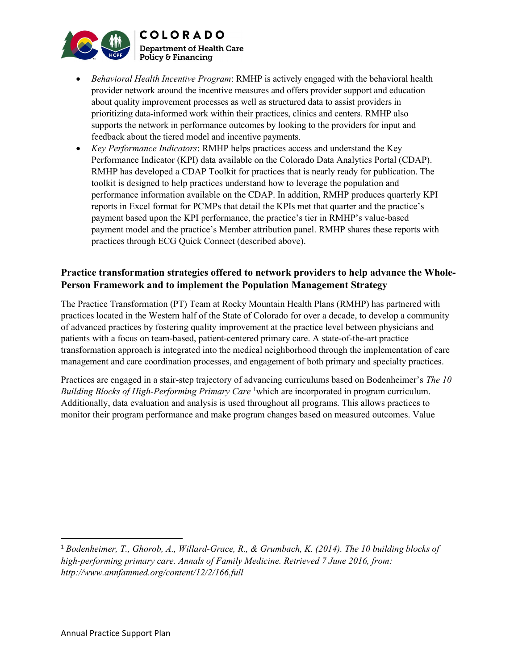

- Behavioral Health Incentive Program: RMHP is actively engaged with the behavioral health provider network around the incentive measures and offers provider support and education about quality improvement processes as well as structured data to assist providers in prioritizing data-informed work within their practices, clinics and centers. RMHP also supports the network in performance outcomes by looking to the providers for input and feedback about the tiered model and incentive payments.
- Key Performance Indicators: RMHP helps practices access and understand the Key Performance Indicator (KPI) data available on the Colorado Data Analytics Portal (CDAP). RMHP has developed a CDAP Toolkit for practices that is nearly ready for publication. The toolkit is designed to help practices understand how to leverage the population and performance information available on the CDAP. In addition, RMHP produces quarterly KPI reports in Excel format for PCMPs that detail the KPIs met that quarter and the practice's payment based upon the KPI performance, the practice's tier in RMHP's value-based payment model and the practice's Member attribution panel. RMHP shares these reports with practices through ECG Quick Connect (described above).

## Practice transformation strategies offered to network providers to help advance the Whole-Person Framework and to implement the Population Management Strategy

The Practice Transformation (PT) Team at Rocky Mountain Health Plans (RMHP) has partnered with practices located in the Western half of the State of Colorado for over a decade, to develop a community of advanced practices by fostering quality improvement at the practice level between physicians and patients with a focus on team-based, patient-centered primary care. A state-of-the-art practice transformation approach is integrated into the medical neighborhood through the implementation of care management and care coordination processes, and engagement of both primary and specialty practices.

Practices are engaged in a stair-step trajectory of advancing curriculums based on Bodenheimer's The 10 Building Blocks of High-Performing Primary Care<sup>1</sup>which are incorporated in program curriculum. Additionally, data evaluation and analysis is used throughout all programs. This allows practices to monitor their program performance and make program changes based on measured outcomes. Value

<sup>&</sup>lt;sup>1</sup> Bodenheimer, T., Ghorob, A., Willard-Grace, R., & Grumbach, K. (2014). The 10 building blocks of high-performing primary care. Annals of Family Medicine. Retrieved 7 June 2016, from: http://www.annfammed.org/content/12/2/166.full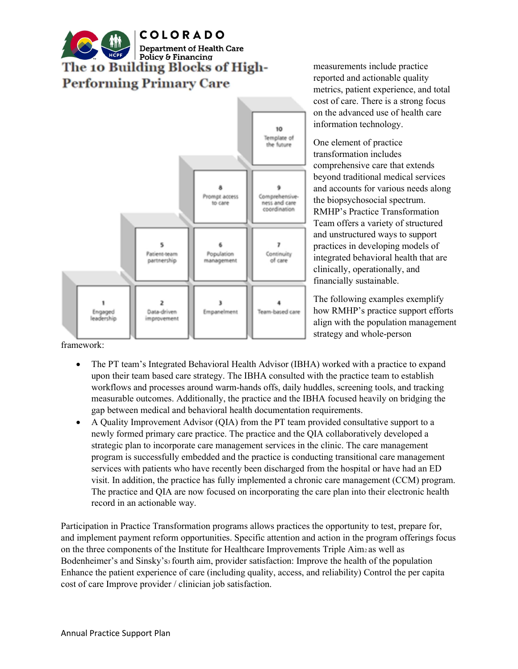



measurements include practice reported and actionable quality metrics, patient experience, and total cost of care. There is a strong focus on the advanced use of health care information technology.

One element of practice transformation includes comprehensive care that extends beyond traditional medical services and accounts for various needs along the biopsychosocial spectrum. RMHP's Practice Transformation Team offers a variety of structured and unstructured ways to support practices in developing models of integrated behavioral health that are clinically, operationally, and financially sustainable.

The following examples exemplify how RMHP's practice support efforts align with the population management strategy and whole-person

framework:

- The PT team's Integrated Behavioral Health Advisor (IBHA) worked with a practice to expand upon their team based care strategy. The IBHA consulted with the practice team to establish workflows and processes around warm-hands offs, daily huddles, screening tools, and tracking measurable outcomes. Additionally, the practice and the IBHA focused heavily on bridging the gap between medical and behavioral health documentation requirements.
- A Quality Improvement Advisor (QIA) from the PT team provided consultative support to a newly formed primary care practice. The practice and the QIA collaboratively developed a strategic plan to incorporate care management services in the clinic. The care management program is successfully embedded and the practice is conducting transitional care management services with patients who have recently been discharged from the hospital or have had an ED visit. In addition, the practice has fully implemented a chronic care management (CCM) program. The practice and QIA are now focused on incorporating the care plan into their electronic health record in an actionable way.

Participation in Practice Transformation programs allows practices the opportunity to test, prepare for, and implement payment reform opportunities. Specific attention and action in the program offerings focus on the three components of the Institute for Healthcare Improvements Triple Aim2 as well as Bodenheimer's and Sinsky's<sub>3</sub> fourth aim, provider satisfaction: Improve the health of the population Enhance the patient experience of care (including quality, access, and reliability) Control the per capita cost of care Improve provider / clinician job satisfaction.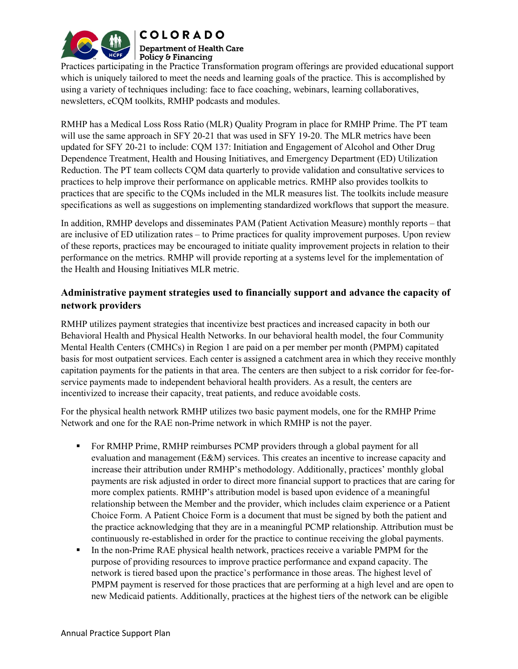

**Department of Health Care** Policy & Financing

Practices participating in the Practice Transformation program offerings are provided educational support which is uniquely tailored to meet the needs and learning goals of the practice. This is accomplished by using a variety of techniques including: face to face coaching, webinars, learning collaboratives, newsletters, eCQM toolkits, RMHP podcasts and modules.

RMHP has a Medical Loss Ross Ratio (MLR) Quality Program in place for RMHP Prime. The PT team will use the same approach in SFY 20-21 that was used in SFY 19-20. The MLR metrics have been updated for SFY 20-21 to include: CQM 137: Initiation and Engagement of Alcohol and Other Drug Dependence Treatment, Health and Housing Initiatives, and Emergency Department (ED) Utilization Reduction. The PT team collects CQM data quarterly to provide validation and consultative services to practices to help improve their performance on applicable metrics. RMHP also provides toolkits to practices that are specific to the CQMs included in the MLR measures list. The toolkits include measure specifications as well as suggestions on implementing standardized workflows that support the measure.

In addition, RMHP develops and disseminates PAM (Patient Activation Measure) monthly reports – that are inclusive of ED utilization rates – to Prime practices for quality improvement purposes. Upon review of these reports, practices may be encouraged to initiate quality improvement projects in relation to their performance on the metrics. RMHP will provide reporting at a systems level for the implementation of the Health and Housing Initiatives MLR metric.

## Administrative payment strategies used to financially support and advance the capacity of network providers

RMHP utilizes payment strategies that incentivize best practices and increased capacity in both our Behavioral Health and Physical Health Networks. In our behavioral health model, the four Community Mental Health Centers (CMHCs) in Region 1 are paid on a per member per month (PMPM) capitated basis for most outpatient services. Each center is assigned a catchment area in which they receive monthly capitation payments for the patients in that area. The centers are then subject to a risk corridor for fee-forservice payments made to independent behavioral health providers. As a result, the centers are incentivized to increase their capacity, treat patients, and reduce avoidable costs.

For the physical health network RMHP utilizes two basic payment models, one for the RMHP Prime Network and one for the RAE non-Prime network in which RMHP is not the payer.

- For RMHP Prime, RMHP reimburses PCMP providers through a global payment for all evaluation and management (E&M) services. This creates an incentive to increase capacity and increase their attribution under RMHP's methodology. Additionally, practices' monthly global payments are risk adjusted in order to direct more financial support to practices that are caring for more complex patients. RMHP's attribution model is based upon evidence of a meaningful relationship between the Member and the provider, which includes claim experience or a Patient Choice Form. A Patient Choice Form is a document that must be signed by both the patient and the practice acknowledging that they are in a meaningful PCMP relationship. Attribution must be continuously re-established in order for the practice to continue receiving the global payments.
- In the non-Prime RAE physical health network, practices receive a variable PMPM for the purpose of providing resources to improve practice performance and expand capacity. The network is tiered based upon the practice's performance in those areas. The highest level of PMPM payment is reserved for those practices that are performing at a high level and are open to new Medicaid patients. Additionally, practices at the highest tiers of the network can be eligible